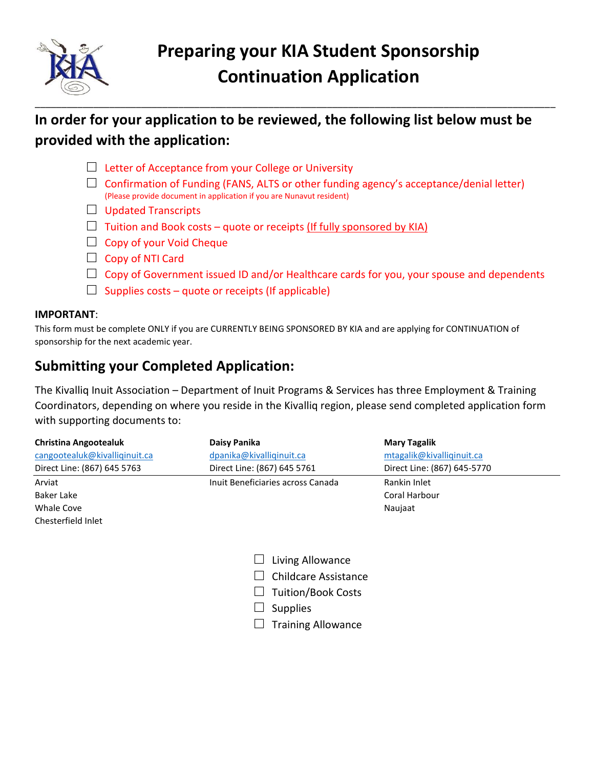

## **In order for your application to be reviewed, the following list below must be provided with the application:**

- $\Box$  Letter of Acceptance from your College or University
- $\Box$  Confirmation of Funding (FANS, ALTS or other funding agency's acceptance/denial letter) (Please provide document in application if you are Nunavut resident)
- $\Box$  Updated Transcripts
- $\Box$  Tuition and Book costs quote or receipts (If fully sponsored by KIA)
- $\Box$  Copy of your Void Cheque
- $\Box$  Copy of NTI Card
- $\Box$  Copy of Government issued ID and/or Healthcare cards for you, your spouse and dependents
- $\Box$  Supplies costs quote or receipts (If applicable)

#### **IMPORTANT**:

This form must be complete ONLY if you are CURRENTLY BEING SPONSORED BY KIA and are applying for CONTINUATION of sponsorship for the next academic year.

## **Submitting your Completed Application:**

The Kivalliq Inuit Association – Department of Inuit Programs & Services has three Employment & Training Coordinators, depending on where you reside in the Kivalliq region, please send completed application form with supporting documents to:

| <b>Christina Angootealuk</b>  | Daisy Panika                      | <b>Mary Tagalik</b>         |
|-------------------------------|-----------------------------------|-----------------------------|
| cangootealuk@kivalliqinuit.ca | dpanika@kivalliqinuit.ca          | mtagalik@kivalliqinuit.ca   |
| Direct Line: (867) 645 5763   | Direct Line: (867) 645 5761       | Direct Line: (867) 645-5770 |
| Arviat                        | Inuit Beneficiaries across Canada | Rankin Inlet                |
| Baker Lake                    |                                   | Coral Harbour               |
| Whale Cove                    |                                   | Naujaat                     |
| Chactarfiald Inlat            |                                   |                             |

- $\Box$  Living Allowance
- $\Box$  Childcare Assistance
- □ Tuition/Book Costs
- $\Box$  Supplies
- $\Box$  Training Allowance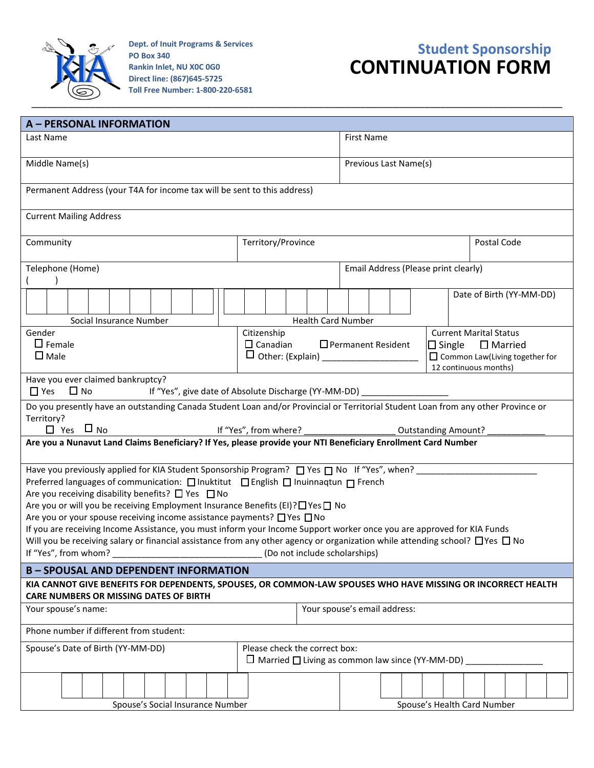

**Dept. of Inuit Programs & Services PO Box 340 Rankin Inlet, NU X0C 0G0 Direct line: (867)645-5725 Toll Free Number: 1-800-220-6581**

# **Student Sponsorship CONTINUATION FORM**

| A - PERSONAL INFORMATION                                                                                                                                                                                                                                                                                                                                                                                                                                                                                                                                                                                                                      |                                      |                          |                                                                |  |  |
|-----------------------------------------------------------------------------------------------------------------------------------------------------------------------------------------------------------------------------------------------------------------------------------------------------------------------------------------------------------------------------------------------------------------------------------------------------------------------------------------------------------------------------------------------------------------------------------------------------------------------------------------------|--------------------------------------|--------------------------|----------------------------------------------------------------|--|--|
| Last Name                                                                                                                                                                                                                                                                                                                                                                                                                                                                                                                                                                                                                                     |                                      | <b>First Name</b>        |                                                                |  |  |
| Middle Name(s)                                                                                                                                                                                                                                                                                                                                                                                                                                                                                                                                                                                                                                |                                      | Previous Last Name(s)    |                                                                |  |  |
| Permanent Address (your T4A for income tax will be sent to this address)                                                                                                                                                                                                                                                                                                                                                                                                                                                                                                                                                                      |                                      |                          |                                                                |  |  |
| <b>Current Mailing Address</b>                                                                                                                                                                                                                                                                                                                                                                                                                                                                                                                                                                                                                |                                      |                          |                                                                |  |  |
| Community                                                                                                                                                                                                                                                                                                                                                                                                                                                                                                                                                                                                                                     | Territory/Province                   |                          | Postal Code                                                    |  |  |
| Telephone (Home)                                                                                                                                                                                                                                                                                                                                                                                                                                                                                                                                                                                                                              | Email Address (Please print clearly) |                          |                                                                |  |  |
| Social Insurance Number                                                                                                                                                                                                                                                                                                                                                                                                                                                                                                                                                                                                                       | <b>Health Card Number</b>            | Date of Birth (YY-MM-DD) |                                                                |  |  |
| Gender<br>Citizenship<br><b>Current Marital Status</b><br>$\Box$ Female<br>□ Permanent Resident<br>$\Box$ Canadian<br>$\Box$ Single $\Box$ Married<br>$\square$ Male                                                                                                                                                                                                                                                                                                                                                                                                                                                                          |                                      |                          | $\Box$ Common Law(Living together for<br>12 continuous months) |  |  |
| Have you ever claimed bankruptcy?<br>$\Box$ Yes $\Box$ No<br>If "Yes", give date of Absolute Discharge (YY-MM-DD) ____________________                                                                                                                                                                                                                                                                                                                                                                                                                                                                                                        |                                      |                          |                                                                |  |  |
| Do you presently have an outstanding Canada Student Loan and/or Provincial or Territorial Student Loan from any other Province or<br>Territory?<br>$\Box$ Yes $\Box$ No<br>If "Yes", from where?<br><b>Outstanding Amount?</b>                                                                                                                                                                                                                                                                                                                                                                                                                |                                      |                          |                                                                |  |  |
| Are you a Nunavut Land Claims Beneficiary? If Yes, please provide your NTI Beneficiary Enrollment Card Number                                                                                                                                                                                                                                                                                                                                                                                                                                                                                                                                 |                                      |                          |                                                                |  |  |
| Preferred languages of communication: □ Inuktitut □ English □ Inuinnaqtun □ French<br>Are you receiving disability benefits? $\Box$ Yes $\Box$ No<br>Are you or will you be receiving Employment Insurance Benefits (EI)? I Yes I No<br>Are you or your spouse receiving income assistance payments? □ Yes □ No<br>If you are receiving Income Assistance, you must inform your Income Support worker once you are approved for KIA Funds<br>Will you be receiving salary or financial assistance from any other agency or organization while attending school? $\Box$ Yes $\Box$ No<br>If "Yes", from whom?<br>(Do not include scholarships) |                                      |                          |                                                                |  |  |
| <b>B-SPOUSAL AND DEPENDENT INFORMATION</b><br>KIA CANNOT GIVE BENEFITS FOR DEPENDENTS, SPOUSES, OR COMMON-LAW SPOUSES WHO HAVE MISSING OR INCORRECT HEALTH                                                                                                                                                                                                                                                                                                                                                                                                                                                                                    |                                      |                          |                                                                |  |  |
| <b>CARE NUMBERS OR MISSING DATES OF BIRTH</b>                                                                                                                                                                                                                                                                                                                                                                                                                                                                                                                                                                                                 |                                      |                          |                                                                |  |  |
| Your spouse's email address:<br>Your spouse's name:                                                                                                                                                                                                                                                                                                                                                                                                                                                                                                                                                                                           |                                      |                          |                                                                |  |  |
| Phone number if different from student:                                                                                                                                                                                                                                                                                                                                                                                                                                                                                                                                                                                                       |                                      |                          |                                                                |  |  |
| Please check the correct box:<br>Spouse's Date of Birth (YY-MM-DD)<br>$\Box$ Married $\Box$ Living as common law since (YY-MM-DD)                                                                                                                                                                                                                                                                                                                                                                                                                                                                                                             |                                      |                          |                                                                |  |  |
| Spouse's Social Insurance Number                                                                                                                                                                                                                                                                                                                                                                                                                                                                                                                                                                                                              |                                      |                          | Spouse's Health Card Number                                    |  |  |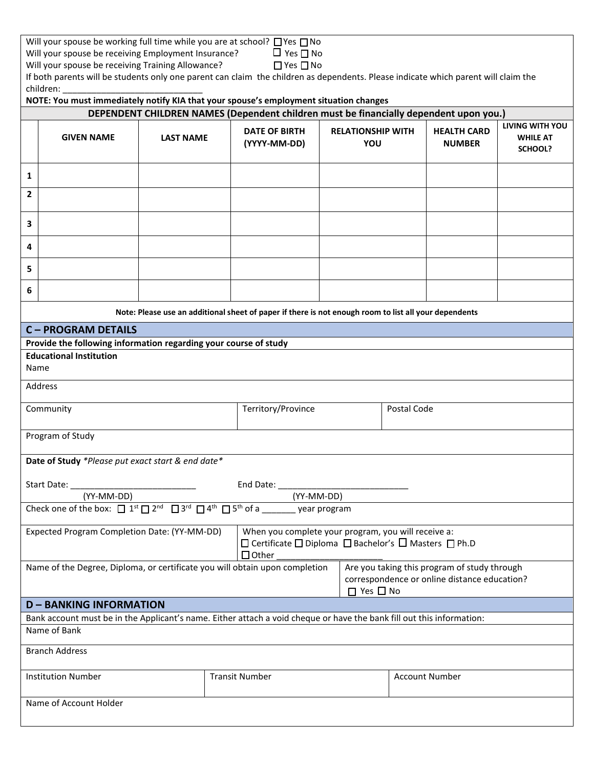| Will your spouse be working full time while you are at school? $\Box$ Yes $\Box$ No |                      |
|-------------------------------------------------------------------------------------|----------------------|
| Will your spouse be receiving Employment Insurance?                                 | $\Box$ Yes $\Box$ No |

Will your spouse be receiving Employment Insurance?  $\Box$  Yes  $\Box$  No<br>Will your spouse be receiving Training Allowance?  $\Box$  Yes  $\Box$  No

Will your spouse be receiving Training Allowance?

| If both parents will be students only one parent can claim the children as dependents. Please indicate which parent will claim the |  |
|------------------------------------------------------------------------------------------------------------------------------------|--|
| children:                                                                                                                          |  |

|                                                                                                                                                                                                     | NOTE: You must immediately notify KIA that your spouse's employment situation changes                                                                                     |                                                                                                       |                                      |                                 |                                     |                                               |
|-----------------------------------------------------------------------------------------------------------------------------------------------------------------------------------------------------|---------------------------------------------------------------------------------------------------------------------------------------------------------------------------|-------------------------------------------------------------------------------------------------------|--------------------------------------|---------------------------------|-------------------------------------|-----------------------------------------------|
| DEPENDENT CHILDREN NAMES (Dependent children must be financially dependent upon you.)                                                                                                               |                                                                                                                                                                           |                                                                                                       |                                      |                                 |                                     |                                               |
|                                                                                                                                                                                                     | <b>GIVEN NAME</b>                                                                                                                                                         | <b>LAST NAME</b>                                                                                      | <b>DATE OF BIRTH</b><br>(YYYY-MM-DD) | <b>RELATIONSHIP WITH</b><br>YOU | <b>HEALTH CARD</b><br><b>NUMBER</b> | LIVING WITH YOU<br><b>WHILE AT</b><br>SCHOOL? |
| 1                                                                                                                                                                                                   |                                                                                                                                                                           |                                                                                                       |                                      |                                 |                                     |                                               |
| $\mathbf{2}$                                                                                                                                                                                        |                                                                                                                                                                           |                                                                                                       |                                      |                                 |                                     |                                               |
| 3                                                                                                                                                                                                   |                                                                                                                                                                           |                                                                                                       |                                      |                                 |                                     |                                               |
| 4                                                                                                                                                                                                   |                                                                                                                                                                           |                                                                                                       |                                      |                                 |                                     |                                               |
| 5                                                                                                                                                                                                   |                                                                                                                                                                           |                                                                                                       |                                      |                                 |                                     |                                               |
| 6                                                                                                                                                                                                   |                                                                                                                                                                           |                                                                                                       |                                      |                                 |                                     |                                               |
|                                                                                                                                                                                                     |                                                                                                                                                                           | Note: Please use an additional sheet of paper if there is not enough room to list all your dependents |                                      |                                 |                                     |                                               |
|                                                                                                                                                                                                     | <b>C-PROGRAM DETAILS</b>                                                                                                                                                  |                                                                                                       |                                      |                                 |                                     |                                               |
|                                                                                                                                                                                                     | Provide the following information regarding your course of study                                                                                                          |                                                                                                       |                                      |                                 |                                     |                                               |
|                                                                                                                                                                                                     | <b>Educational Institution</b><br>Name                                                                                                                                    |                                                                                                       |                                      |                                 |                                     |                                               |
| Address                                                                                                                                                                                             |                                                                                                                                                                           |                                                                                                       |                                      |                                 |                                     |                                               |
|                                                                                                                                                                                                     | Territory/Province<br>Community<br>Postal Code                                                                                                                            |                                                                                                       |                                      |                                 |                                     |                                               |
|                                                                                                                                                                                                     | Program of Study                                                                                                                                                          |                                                                                                       |                                      |                                 |                                     |                                               |
|                                                                                                                                                                                                     | Date of Study *Please put exact start & end date*                                                                                                                         |                                                                                                       |                                      |                                 |                                     |                                               |
|                                                                                                                                                                                                     |                                                                                                                                                                           |                                                                                                       |                                      |                                 |                                     |                                               |
|                                                                                                                                                                                                     | (YY-MM-DD)                                                                                                                                                                |                                                                                                       | (YY-MM-DD)                           |                                 |                                     |                                               |
| Check one of the box: $\Box$ 1 <sup>st</sup> $\Box$ 2 <sup>nd</sup> $\Box$ 3 <sup>rd</sup> $\Box$ 4 <sup>th</sup> $\Box$ 5 <sup>th</sup> of a year program                                          |                                                                                                                                                                           |                                                                                                       |                                      |                                 |                                     |                                               |
|                                                                                                                                                                                                     | Expected Program Completion Date: (YY-MM-DD) Vhen you complete your program, you will receive a:<br>□ Certificate □ Diploma □ Bachelor's □ Masters □ Ph.D<br>$\Box$ Other |                                                                                                       |                                      |                                 |                                     |                                               |
| Are you taking this program of study through<br>Name of the Degree, Diploma, or certificate you will obtain upon completion<br>correspondence or online distance education?<br>$\Box$ Yes $\Box$ No |                                                                                                                                                                           |                                                                                                       |                                      |                                 |                                     |                                               |
|                                                                                                                                                                                                     | <b>D-BANKING INFORMATION</b>                                                                                                                                              |                                                                                                       |                                      |                                 |                                     |                                               |
|                                                                                                                                                                                                     | Bank account must be in the Applicant's name. Either attach a void cheque or have the bank fill out this information:                                                     |                                                                                                       |                                      |                                 |                                     |                                               |
| Name of Bank                                                                                                                                                                                        |                                                                                                                                                                           |                                                                                                       |                                      |                                 |                                     |                                               |
| <b>Branch Address</b>                                                                                                                                                                               |                                                                                                                                                                           |                                                                                                       |                                      |                                 |                                     |                                               |
|                                                                                                                                                                                                     | <b>Institution Number</b>                                                                                                                                                 |                                                                                                       | <b>Transit Number</b>                |                                 | <b>Account Number</b>               |                                               |
|                                                                                                                                                                                                     | Name of Account Holder                                                                                                                                                    |                                                                                                       |                                      |                                 |                                     |                                               |